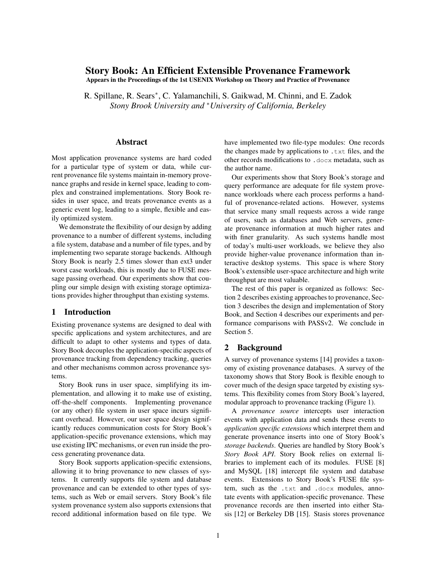# **Story Book: An Efficient Extensible Provenance Framework**

**Appears in the Proceedings of the 1st USENIX Workshop on Theory and Practice of Provenance**

R. Spillane, R. Sears<sup>∗</sup>, C. Yalamanchili, S. Gaikwad, M. Chinni, and E. Zadok *Stony Brook University and* <sup>∗</sup>*University of California, Berkeley*

### **Abstract**

Most application provenance systems are hard coded for a particular type of system or data, while current provenance file systems maintain in-memory provenance graphs and reside in kernel space, leading to complex and constrained implementations. Story Book resides in user space, and treats provenance events as a generic event log, leading to a simple, flexible and easily optimized system.

We demonstrate the flexibility of our design by adding provenance to a number of different systems, including a file system, database and a number of file types, and by implementing two separate storage backends. Although Story Book is nearly 2.5 times slower than ext3 under worst case workloads, this is mostly due to FUSE message passing overhead. Our experiments show that coupling our simple design with existing storage optimizations provides higher throughput than existing systems.

### **1 Introduction**

Existing provenance systems are designed to deal with specific applications and system architectures, and are difficult to adapt to other systems and types of data. Story Book decouples the application-specific aspects of provenance tracking from dependency tracking, queries and other mechanisms common across provenance systems.

Story Book runs in user space, simplifying its implementation, and allowing it to make use of existing, off-the-shelf components. Implementing provenance (or any other) file system in user space incurs significant overhead. However, our user space design significantly reduces communication costs for Story Book's application-specific provenance extensions, which may use existing IPC mechanisms, or even run inside the process generating provenance data.

Story Book supports application-specific extensions, allowing it to bring provenance to new classes of systems. It currently supports file system and database provenance and can be extended to other types of systems, such as Web or email servers. Story Book's file system provenance system also supports extensions that record additional information based on file type. We have implemented two file-type modules: One records the changes made by applications to .txt files, and the other records modifications to .docx metadata, such as the author name.

Our experiments show that Story Book's storage and query performance are adequate for file system provenance workloads where each process performs a handful of provenance-related actions. However, systems that service many small requests across a wide range of users, such as databases and Web servers, generate provenance information at much higher rates and with finer granularity. As such systems handle most of today's multi-user workloads, we believe they also provide higher-value provenance information than interactive desktop systems. This space is where Story Book's extensible user-space architecture and high write throughput are most valuable.

The rest of this paper is organized as follows: Section 2 describes existing approaches to provenance, Section 3 describes the design and implementation of Story Book, and Section 4 describes our experiments and performance comparisons with PASSv2. We conclude in Section 5.

## **2 Background**

A survey of provenance systems [14] provides a taxonomy of existing provenance databases. A survey of the taxonomy shows that Story Book is flexible enough to cover much of the design space targeted by existing systems. This flexibility comes from Story Book's layered, modular approach to provenance tracking (Figure 1).

A *provenance source* intercepts user interaction events with application data and sends these events to *application specific extensions* which interpret them and generate provenance inserts into one of Story Book's *storage backends*. Queries are handled by Story Book's *Story Book API*. Story Book relies on external libraries to implement each of its modules. FUSE [8] and MySQL [18] intercept file system and database events. Extensions to Story Book's FUSE file system, such as the .txt and .docx modules, annotate events with application-specific provenance. These provenance records are then inserted into either Stasis [12] or Berkeley DB [15]. Stasis stores provenance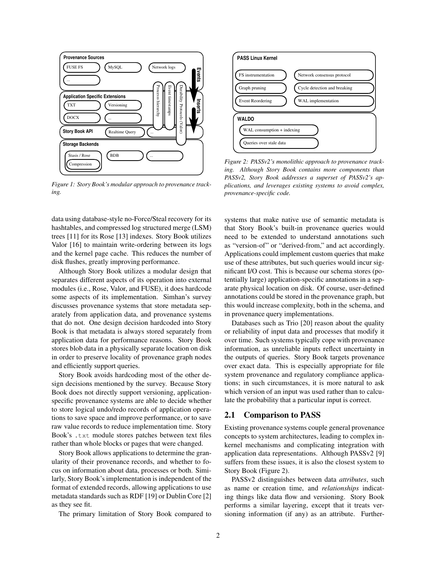

*Figure 1: Story Book's modular approach to provenance tracking.*

data using database-style no-Force/Steal recovery for its hashtables, and compressed log structured merge (LSM) trees [11] for its Rose [13] indexes. Story Book utilizes Valor [16] to maintain write-ordering between its logs and the kernel page cache. This reduces the number of disk flushes, greatly improving performance.

Although Story Book utilizes a modular design that separates different aspects of its operation into external modules (i.e., Rose, Valor, and FUSE), it does hardcode some aspects of its implementation. Simhan's survey discusses provenance systems that store metadata separately from application data, and provenance systems that do not. One design decision hardcoded into Story Book is that metadata is always stored separately from application data for performance reasons. Story Book stores blob data in a physically separate location on disk in order to preserve locality of provenance graph nodes and efficiently support queries.

Story Book avoids hardcoding most of the other design decisions mentioned by the survey. Because Story Book does not directly support versioning, applicationspecific provenance systems are able to decide whether to store logical undo/redo records of application operations to save space and improve performance, or to save raw value records to reduce implementation time. Story Book's .txt module stores patches between text files rather than whole blocks or pages that were changed.

Story Book allows applications to determine the granularity of their provenance records, and whether to focus on information about data, processes or both. Similarly, Story Book's implementation is independent of the format of extended records, allowing applications to use metadata standards such as RDF [19] or Dublin Core [2] as they see fit.

The primary limitation of Story Book compared to



*Figure 2: PASSv2's monolithic approach to provenance tracking. Although Story Book contains more components than PASSv2, Story Book addresses a superset of PASSv2's applications, and leverages existing systems to avoid complex, provenance-specific code.*

systems that make native use of semantic metadata is that Story Book's built-in provenance queries would need to be extended to understand annotations such as "version-of" or "derived-from," and act accordingly. Applications could implement custom queries that make use of these attributes, but such queries would incur significant I/O cost. This is because our schema stores (potentially large) application-specific annotations in a separate physical location on disk. Of course, user-defined annotations could be stored in the provenance graph, but this would increase complexity, both in the schema, and in provenance query implementations.

Databases such as Trio [20] reason about the quality or reliability of input data and processes that modify it over time. Such systems typically cope with provenance information, as unreliable inputs reflect uncertainty in the outputs of queries. Story Book targets provenance over exact data. This is especially appropriate for file system provenance and regulatory compliance applications; in such circumstances, it is more natural to ask which version of an input was used rather than to calculate the probability that a particular input is correct.

# **2.1 Comparison to PASS**

Existing provenance systems couple general provenance concepts to system architectures, leading to complex inkernel mechanisms and complicating integration with application data representations. Although PASSv2 [9] suffers from these issues, it is also the closest system to Story Book (Figure 2).

PASSv2 distinguishes between data *attributes*, such as name or creation time, and *relationships* indicating things like data flow and versioning. Story Book performs a similar layering, except that it treats versioning information (if any) as an attribute. Further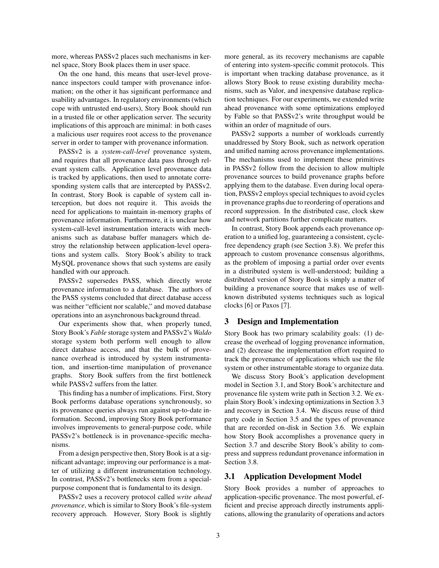more, whereas PASSv2 places such mechanisms in kernel space, Story Book places them in user space.

On the one hand, this means that user-level provenance inspectors could tamper with provenance information; on the other it has significant performance and usability advantages. In regulatory environments(which cope with untrusted end-users), Story Book should run in a trusted file or other application server. The security implications of this approach are minimal: in both cases a malicious user requires root access to the provenance server in order to tamper with provenance information.

PASSv2 is a *system-call-level* provenance system, and requires that all provenance data pass through relevant system calls. Application level provenance data is tracked by applications, then used to annotate corresponding system calls that are intercepted by PASSv2. In contrast, Story Book is capable of system call interception, but does not require it. This avoids the need for applications to maintain in-memory graphs of provenance information. Furthermore, it is unclear how system-call-level instrumentation interacts with mechanisms such as database buffer managers which destroy the relationship between application-level operations and system calls. Story Book's ability to track MySQL provenance shows that such systems are easily handled with our approach.

PASSv2 supersedes PASS, which directly wrote provenance information to a database. The authors of the PASS systems concluded that direct database access was neither "efficient nor scalable," and moved database operations into an asynchronous background thread.

Our experiments show that, when properly tuned, Story Book's *Fable* storage system and PASSv2's *Waldo* storage system both perform well enough to allow direct database access, and that the bulk of provenance overhead is introduced by system instrumentation, and insertion-time manipulation of provenance graphs. Story Book suffers from the first bottleneck while PASSv2 suffers from the latter.

This finding has a number of implications. First, Story Book performs database operations synchronously, so its provenance queries always run against up-to-date information. Second, improving Story Book performance involves improvements to general-purpose code, while PASSv2's bottleneck is in provenance-specific mechanisms.

From a design perspective then, Story Book is at a significant advantage; improving our performance is a matter of utilizing a different instrumentation technology. In contrast, PASSv2's bottlenecks stem from a specialpurpose component that is fundamental to its design.

PASSv2 uses a recovery protocol called *write ahead provenance*, which is similar to Story Book's file-system recovery approach. However, Story Book is slightly more general, as its recovery mechanisms are capable of entering into system-specific commit protocols. This is important when tracking database provenance, as it allows Story Book to reuse existing durability mechanisms, such as Valor, and inexpensive database replication techniques. For our experiments, we extended write ahead provenance with some optimizations employed by Fable so that PASSv2's write throughput would be within an order of magnitude of ours.

PASSv2 supports a number of workloads currently unaddressed by Story Book, such as network operation and unified naming across provenance implementations. The mechanisms used to implement these primitives in PASSv2 follow from the decision to allow multiple provenance sources to build provenance graphs before applying them to the database. Even during local operation, PASSv2 employs special techniques to avoid cycles in provenance graphs due to reordering of operations and record suppression. In the distributed case, clock skew and network partitions further complicate matters.

In contrast, Story Book appends each provenance operation to a unified log, guaranteeing a consistent, cyclefree dependency graph (see Section 3.8). We prefer this approach to custom provenance consensus algorithms, as the problem of imposing a partial order over events in a distributed system is well-understood; building a distributed version of Story Book is simply a matter of building a provenance source that makes use of wellknown distributed systems techniques such as logical clocks [6] or Paxos [7].

# **3 Design and Implementation**

Story Book has two primary scalability goals: (1) decrease the overhead of logging provenance information, and (2) decrease the implementation effort required to track the provenance of applications which use the file system or other instrumentable storage to organize data.

We discuss Story Book's application development model in Section 3.1, and Story Book's architecture and provenance file system write path in Section 3.2. We explain Story Book's indexing optimizations in Section 3.3 and recovery in Section 3.4. We discuss reuse of third party code in Section 3.5 and the types of provenance that are recorded on-disk in Section 3.6. We explain how Story Book accomplishes a provenance query in Section 3.7 and describe Story Book's ability to compress and suppress redundant provenance information in Section 3.8.

### **3.1 Application Development Model**

Story Book provides a number of approaches to application-specific provenance. The most powerful, efficient and precise approach directly instruments applications, allowing the granularity of operations and actors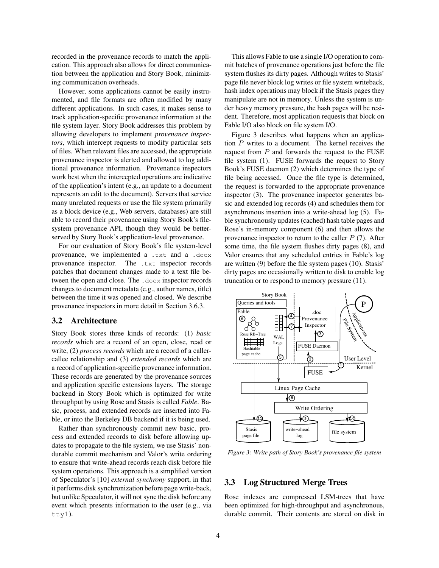recorded in the provenance records to match the application. This approach also allows for direct communication between the application and Story Book, minimizing communication overheads.

However, some applications cannot be easily instrumented, and file formats are often modified by many different applications. In such cases, it makes sense to track application-specific provenance information at the file system layer. Story Book addresses this problem by allowing developers to implement *provenance inspectors*, which intercept requests to modify particular sets of files. When relevant files are accessed, the appropriate provenance inspector is alerted and allowed to log additional provenance information. Provenance inspectors work best when the intercepted operations are indicative of the application's intent (e.g., an update to a document represents an edit to the document). Servers that service many unrelated requests or use the file system primarily as a block device (e.g., Web servers, databases) are still able to record their provenance using Story Book's filesystem provenance API, though they would be betterserved by Story Book's application-level provenance.

For our evaluation of Story Book's file system-level provenance, we implemented a .txt and a .docx provenance inspector. The .txt inspector records patches that document changes made to a text file between the open and close. The .docx inspector records changes to document metadata (e.g., author names, title) between the time it was opened and closed. We describe provenance inspectors in more detail in Section 3.6.3.

### **3.2 Architecture**

Story Book stores three kinds of records: (1) *basic records* which are a record of an open, close, read or write, (2) *process records* which are a record of a callercallee relationship and (3) *extended records* which are a record of application-specific provenance information. These records are generated by the provenance sources and application specific extensions layers. The storage backend in Story Book which is optimized for write throughput by using Rose and Stasis is called *Fable*. Basic, process, and extended records are inserted into Fable, or into the Berkeley DB backend if it is being used.

Rather than synchronously commit new basic, process and extended records to disk before allowing updates to propagate to the file system, we use Stasis' nondurable commit mechanism and Valor's write ordering to ensure that write-ahead records reach disk before file system operations. This approach is a simplified version of Speculator's [10] *external synchrony* support, in that it performs disk synchronization before page write-back, but unlike Speculator, it will not sync the disk before any event which presents information to the user (e.g., via tty1).

This allows Fable to use a single I/O operation to commit batches of provenance operations just before the file system flushes its dirty pages. Although writes to Stasis' page file never block log writes or file system writeback, hash index operations may block if the Stasis pages they manipulate are not in memory. Unless the system is under heavy memory pressure, the hash pages will be resident. Therefore, most application requests that block on Fable I/O also block on file system I/O.

Figure 3 describes what happens when an application P writes to a document. The kernel receives the request from  $P$  and forwards the request to the FUSE file system (1). FUSE forwards the request to Story Book's FUSE daemon (2) which determines the type of file being accessed. Once the file type is determined, the request is forwarded to the appropriate provenance inspector (3). The provenance inspector generates basic and extended log records (4) and schedules them for asynchronous insertion into a write-ahead log (5). Fable synchronously updates(cached) hash table pages and Rose's in-memory component (6) and then allows the provenance inspector to return to the caller  $P(7)$ . After some time, the file system flushes dirty pages (8), and Valor ensures that any scheduled entries in Fable's log are written (9) before the file system pages (10). Stasis' dirty pages are occasionally written to disk to enable log truncation or to respond to memory pressure (11).



*Figure 3: Write path of Story Book's provenance file system*

#### **3.3 Log Structured Merge Trees**

Rose indexes are compressed LSM-trees that have been optimized for high-throughput and asynchronous, durable commit. Their contents are stored on disk in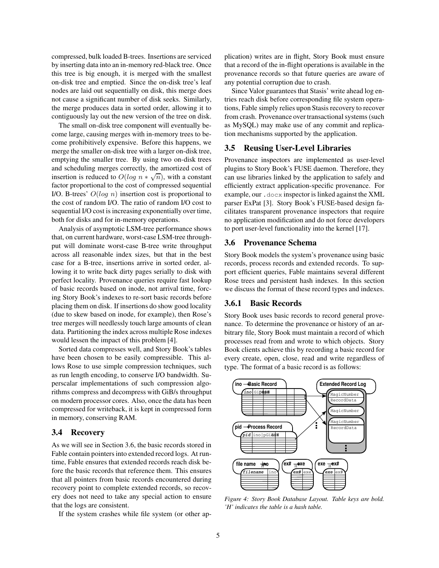compressed, bulk loaded B-trees. Insertions are serviced by inserting data into an in-memory red-black tree. Once this tree is big enough, it is merged with the smallest on-disk tree and emptied. Since the on-disk tree's leaf nodes are laid out sequentially on disk, this merge does not cause a significant number of disk seeks. Similarly, the merge produces data in sorted order, allowing it to contiguously lay out the new version of the tree on disk.

The small on-disk tree component will eventually become large, causing merges with in-memory trees to become prohibitively expensive. Before this happens, we merge the smaller on-disk tree with a larger on-disk tree, emptying the smaller tree. By using two on-disk trees and scheduling merges correctly, the amortized cost of insertion is reduced to  $O(log n * \sqrt{n})$ , with a constant factor proportional to the cost of compressed sequential I/O. B-trees'  $O(log n)$  insertion cost is proportional to the cost of random I/O. The ratio of random I/O cost to sequential I/O cost is increasing exponentially over time, both for disks and for in-memory operations.

Analysis of asymptotic LSM-tree performance shows that, on current hardware, worst-case LSM-tree throughput will dominate worst-case B-tree write throughput across all reasonable index sizes, but that in the best case for a B-tree, insertions arrive in sorted order, allowing it to write back dirty pages serially to disk with perfect locality. Provenance queries require fast lookup of basic records based on inode, not arrival time, forcing Story Book's indexes to re-sort basic records before placing them on disk. If insertions do show good locality (due to skew based on inode, for example), then Rose's tree merges will needlessly touch large amounts of clean data. Partitioning the index across multiple Rose indexes would lessen the impact of this problem [4].

Sorted data compresses well, and Story Book's tables have been chosen to be easily compressible. This allows Rose to use simple compression techniques, such as run length encoding, to conserve I/O bandwidth. Superscalar implementations of such compression algorithms compress and decompress with GiB/s throughput on modern processor cores. Also, once the data has been compressed for writeback, it is kept in compressed form in memory, conserving RAM.

## **3.4 Recovery**

As we will see in Section 3.6, the basic records stored in Fable contain pointers into extended record logs. At runtime, Fable ensures that extended records reach disk before the basic records that reference them. This ensures that all pointers from basic records encountered during recovery point to complete extended records, so recovery does not need to take any special action to ensure that the logs are consistent.

If the system crashes while file system (or other ap-

plication) writes are in flight, Story Book must ensure that a record of the in-flight operations is available in the provenance records so that future queries are aware of any potential corruption due to crash.

Since Valor guarantees that Stasis' write ahead log entries reach disk before corresponding file system operations, Fable simply relies upon Stasis recovery to recover from crash. Provenance over transactional systems (such as MySQL) may make use of any commit and replication mechanisms supported by the application.

### **3.5 Reusing User-Level Libraries**

Provenance inspectors are implemented as user-level plugins to Story Book's FUSE daemon. Therefore, they can use libraries linked by the application to safely and efficiently extract application-specific provenance. For example, our .docx inspector is linked against the XML parser ExPat [3]. Story Book's FUSE-based design facilitates transparent provenance inspectors that require no application modification and do not force developers to port user-level functionality into the kernel [17].

#### **3.6 Provenance Schema**

Story Book models the system's provenance using basic records, process records and extended records. To support efficient queries, Fable maintains several different Rose trees and persistent hash indexes. In this section we discuss the format of these record types and indexes.

### **3.6.1 Basic Records**

Story Book uses basic records to record general provenance. To determine the provenance or history of an arbitrary file, Story Book must maintain a record of which processes read from and wrote to which objects. Story Book clients achieve this by recording a basic record for every create, open, close, read and write regardless of type. The format of a basic record is as follows:



*Figure 4: Story Book Database Layout. Table keys are bold. 'H' indicates the table is a hash table.*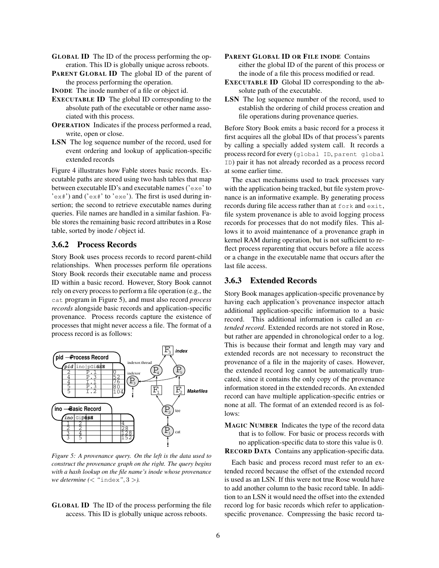- **GLOBAL ID** The ID of the process performing the operation. This ID is globally unique across reboots.
- **PARENT GLOBAL ID** The global ID of the parent of the process performing the operation.
- **INODE** The inode number of a file or object id.
- **EXECUTABLE ID** The global ID corresponding to the absolute path of the executable or other name associated with this process.
- **OPERATION** Indicates if the process performed a read, write, open or close.
- **LSN** The log sequence number of the record, used for event ordering and lookup of application-specific extended records

Figure 4 illustrates how Fable stores basic records. Executable paths are stored using two hash tables that map between executable ID's and executable names ('exe' to  $'e$ <sub>x</sub>#') and ('ex#' to 'exe'). The first is used during insertion; the second to retrieve executable names during queries. File names are handled in a similar fashion. Fable stores the remaining basic record attributes in a Rose table, sorted by inode / object id.

## **3.6.2 Process Records**

Story Book uses process records to record parent-child relationships. When processes perform file operations Story Book records their executable name and process ID within a basic record. However, Story Book cannot rely on every processto perform a file operation (e.g., the cat program in Figure 5), and must also record *process records* alongside basic records and application-specific provenance. Process records capture the existence of processes that might never access a file. The format of a process record is as follows:



*Figure 5: A provenance query. On the left is the data used to construct the provenance graph on the right. The query begins with a hash lookup on the file name's inode whose provenance we determine (*< *"*index*"*, 3 >*).*

**GLOBAL ID** The ID of the process performing the file access. This ID is globally unique across reboots.

- **PARENT GLOBAL ID OR FILE INODE** Contains either the global ID of the parent of this process or the inode of a file this process modified or read.
- **EXECUTABLE ID** Global ID corresponding to the absolute path of the executable.
- LSN The log sequence number of the record, used to establish the ordering of child process creation and file operations during provenance queries.

Before Story Book emits a basic record for a process it first acquires all the global IDs of that process's parents by calling a specially added system call. It records a process record for every (global ID, parent global ID) pair it has not already recorded as a process record at some earlier time.

The exact mechanisms used to track processes vary with the application being tracked, but file system provenance is an informative example. By generating process records during file access rather than at fork and exit, file system provenance is able to avoid logging process records for processes that do not modify files. This allows it to avoid maintenance of a provenance graph in kernel RAM during operation, but is not sufficient to reflect process reparenting that occurs before a file access or a change in the executable name that occurs after the last file access.

# **3.6.3 Extended Records**

Story Book manages application-specific provenance by having each application's provenance inspector attach additional application-specific information to a basic record. This additional information is called an *extended record*. Extended records are not stored in Rose, but rather are appended in chronological order to a log. This is because their format and length may vary and extended records are not necessary to reconstruct the provenance of a file in the majority of cases. However, the extended record log cannot be automatically truncated, since it contains the only copy of the provenance information stored in the extended records. An extended record can have multiple application-specific entries or none at all. The format of an extended record is as follows:

**MAGIC NUMBER** Indicates the type of the record data that is to follow. For basic or process records with no application-specific data to store this value is 0. **RECORD DATA** Contains any application-specific data.

Each basic and process record must refer to an extended record because the offset of the extended record is used as an LSN. If this were not true Rose would have to add another column to the basic record table. In addition to an LSN it would need the offset into the extended record log for basic records which refer to applicationspecific provenance. Compressing the basic record ta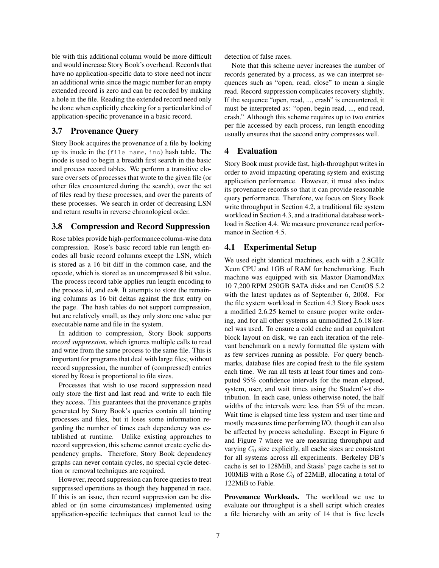ble with this additional column would be more difficult and would increase Story Book's overhead. Records that have no application-specific data to store need not incur an additional write since the magic number for an empty extended record is zero and can be recorded by making a hole in the file. Reading the extended record need only be done when explicitly checking for a particular kind of application-specific provenance in a basic record.

# **3.7 Provenance Query**

Story Book acquires the provenance of a file by looking up its inode in the (file name, ino) hash table. The inode is used to begin a breadth first search in the basic and process record tables. We perform a transitive closure over sets of processes that wrote to the given file (or other files encountered during the search), over the set of files read by these processes, and over the parents of these processes. We search in order of decreasing LSN and return results in reverse chronological order.

## **3.8 Compression and Record Suppression**

Rose tables provide high-performance column-wise data compression. Rose's basic record table run length encodes all basic record columns except the LSN, which is stored as a 16 bit diff in the common case, and the opcode, which is stored as an uncompressed 8 bit value. The process record table applies run length encoding to the process id, and ex#. It attempts to store the remaining columns as 16 bit deltas against the first entry on the page. The hash tables do not support compression, but are relatively small, as they only store one value per executable name and file in the system.

In addition to compression, Story Book supports *record suppression*, which ignores multiple calls to read and write from the same process to the same file. This is important for programs that deal with large files; without record suppression, the number of (compressed) entries stored by Rose is proportional to file sizes.

Processes that wish to use record suppression need only store the first and last read and write to each file they access. This guarantees that the provenance graphs generated by Story Book's queries contain all tainting processes and files, but it loses some information regarding the number of times each dependency was established at runtime. Unlike existing approaches to record suppression, this scheme cannot create cyclic dependency graphs. Therefore, Story Book dependency graphs can never contain cycles, no special cycle detection or removal techniques are required.

However, record suppression can force queries to treat suppressed operations as though they happened in race. If this is an issue, then record suppression can be disabled or (in some circumstances) implemented using application-specific techniques that cannot lead to the detection of false races.

Note that this scheme never increases the number of records generated by a process, as we can interpret sequences such as "open, read, close" to mean a single read. Record suppression complicates recovery slightly. If the sequence "open, read, ..., crash" is encountered, it must be interpreted as: "open, begin read, ..., end read, crash." Although this scheme requires up to two entries per file accessed by each process, run length encoding usually ensures that the second entry compresses well.

# **4 Evaluation**

Story Book must provide fast, high-throughput writes in order to avoid impacting operating system and existing application performance. However, it must also index its provenance records so that it can provide reasonable query performance. Therefore, we focus on Story Book write throughput in Section 4.2, a traditional file system workload in Section 4.3, and a traditional database workload in Section 4.4. We measure provenance read performance in Section 4.5.

# **4.1 Experimental Setup**

We used eight identical machines, each with a 2.8GHz Xeon CPU and 1GB of RAM for benchmarking. Each machine was equipped with six Maxtor DiamondMax 10 7,200 RPM 250GB SATA disks and ran CentOS 5.2 with the latest updates as of September 6, 2008. For the file system workload in Section 4.3 Story Book uses a modified 2.6.25 kernel to ensure proper write ordering, and for all other systems an unmodified 2.6.18 kernel was used. To ensure a cold cache and an equivalent block layout on disk, we ran each iteration of the relevant benchmark on a newly formatted file system with as few services running as possible. For query benchmarks, database files are copied fresh to the file system each time. We ran all tests at least four times and computed 95% confidence intervals for the mean elapsed, system, user, and wait times using the Student's-t distribution. In each case, unless otherwise noted, the half widths of the intervals were less than 5% of the mean. Wait time is elapsed time less system and user time and mostly measures time performing I/O, though it can also be affected by process scheduling. Except in Figure 6 and Figure 7 where we are measuring throughput and varying  $C_0$  size explicitly, all cache sizes are consistent for all systems across all experiments. Berkeley DB's cache is set to 128MiB, and Stasis' page cache is set to 100MiB with a Rose  $C_0$  of 22MiB, allocating a total of 122MiB to Fable.

**Provenance Workloads.** The workload we use to evaluate our throughput is a shell script which creates a file hierarchy with an arity of 14 that is five levels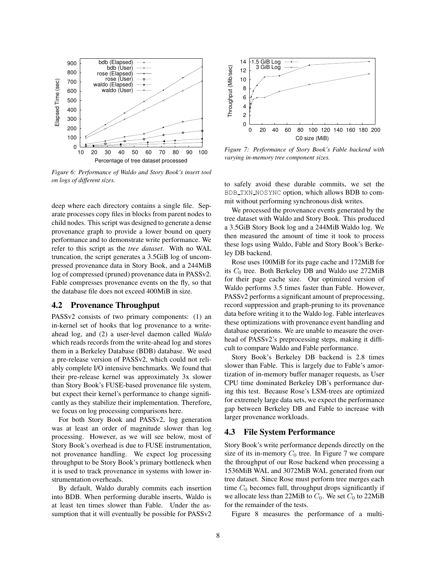

*Figure 6: Performance of Waldo and Story Book's insert tool on logs of different sizes.*

1.5 GiB Log 14 3 GiB Log Throughput (Mib/sec) Throughput (Mib/sec) 12 10 8 6 4 2 0 0 20 40 60 80 100 120 140 160 180 200 C0 size (MiB)

*Figure 7: Performance of Story Book's Fable backend with varying in-memory tree component sizes.*

to safely avoid these durable commits, we set the BDB TXN NOSYNC option, which allows BDB to commit without performing synchronous disk writes.

We processed the provenance events generated by the tree dataset with Waldo and Story Book. This produced a 3.5GiB Story Book log and a 244MiB Waldo log. We then measured the amount of time it took to process these logs using Waldo, Fable and Story Book's Berkeley DB backend.

Rose uses 100MiB for its page cache and 172MiB for its  $C_0$  tree. Both Berkeley DB and Waldo use 272MiB for their page cache size. Our optimized version of Waldo performs 3.5 times faster than Fable. However, PASSv2 performs a significant amount of preprocessing, record suppression and graph-pruning to its provenance data before writing it to the Waldo log. Fable interleaves these optimizations with provenance event handling and database operations. We are unable to measure the overhead of PASSv2's preprocessing steps, making it difficult to compare Waldo and Fable performance.

Story Book's Berkeley DB backend is 2.8 times slower than Fable. This is largely due to Fable's amortization of in-memory buffer manager requests, as User CPU time dominated Berkeley DB's performance during this test. Because Rose's LSM-trees are optimized for extremely large data sets, we expect the performance gap between Berkeley DB and Fable to increase with larger provenance workloads.

### **4.3 File System Performance**

Story Book's write performance depends directly on the size of its in-memory  $C_0$  tree. In Figure 7 we compare the throughput of our Rose backend when processing a 1536MiB WAL and 3072MiB WAL generated from our tree dataset. Since Rose must perform tree merges each time  $C_0$  becomes full, throughput drops significantly if we allocate less than 22MiB to  $C_0$ . We set  $C_0$  to 22MiB for the remainder of the tests.

Figure 8 measures the performance of a multi-

deep where each directory contains a single file. Separate processes copy files in blocks from parent nodes to child nodes. This script was designed to generate a dense provenance graph to provide a lower bound on query performance and to demonstrate write performance. We refer to this script as the *tree dataset*. With no WAL truncation, the script generates a 3.5GiB log of uncompressed provenance data in Story Book, and a 244MiB log of compressed (pruned) provenance data in PASSv2. Fable compresses provenance events on the fly, so that the database file does not exceed 400MiB in size.

### **4.2 Provenance Throughput**

PASSv2 consists of two primary components: (1) an in-kernel set of hooks that log provenance to a writeahead log, and (2) a user-level daemon called *Waldo* which reads records from the write-ahead log and stores them in a Berkeley Database (BDB) database. We used a pre-release version of PASSv2, which could not reliably complete I/O intensive benchmarks. We found that their pre-release kernel was approximately 3x slower than Story Book's FUSE-based provenance file system, but expect their kernel's performance to change significantly as they stabilize their implementation. Therefore, we focus on log processing comparisons here.

For both Story Book and PASSv2, log generation was at least an order of magnitude slower than log processing. However, as we will see below, most of Story Book's overhead is due to FUSE instrumentation, not provenance handling. We expect log processing throughput to be Story Book's primary bottleneck when it is used to track provenance in systems with lower instrumentation overheads.

By default, Waldo durably commits each insertion into BDB. When performing durable inserts, Waldo is at least ten times slower than Fable. Under the assumption that it will eventually be possible for PASSv2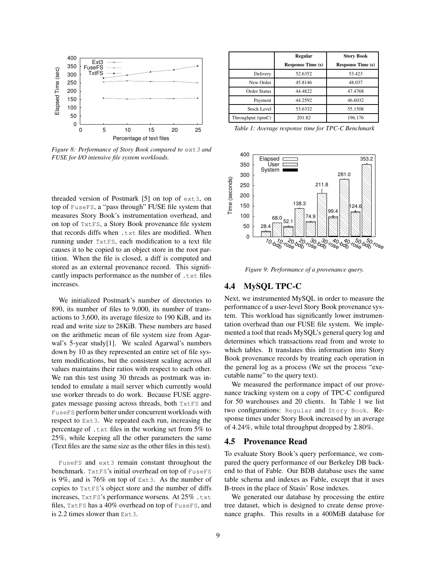

*Figure 8: Performance of Story Book compared to* ext3 *and FUSE for I/O intensive file system workloads.*

threaded version of Postmark [5] on top of ext3, on top of FuseFS, a "pass through" FUSE file system that measures Story Book's instrumentation overhead, and on top of TxtFS, a Story Book provenance file system that records diffs when .txt files are modified. When running under TxtFS, each modification to a text file causes it to be copied to an object store in the root partition. When the file is closed, a diff is computed and stored as an external provenance record. This significantly impacts performance as the number of .txt files increases.

We initialized Postmark's number of directories to 890, its number of files to 9,000, its number of transactions to 3,600, its average filesize to 190 KiB, and its read and write size to 28KiB. These numbers are based on the arithmetic mean of file system size from Agarwal's 5-year study[1]. We scaled Agarwal's numbers down by 10 as they represented an entire set of file system modifications, but the consistent scaling across all values maintains their ratios with respect to each other. We ran this test using 30 threads as postmark was intended to emulate a mail server which currently would use worker threads to do work. Because FUSE aggregates message passing across threads, both TxtFS and FuseFS perform better under concurrent workloads with respect to Ext3. We repeated each run, increasing the percentage of .txt files in the working set from 5% to 25%, while keeping all the other parameters the same (Text files are the same size as the other files in this test).

FuseFS and ext3 remain constant throughout the benchmark. TxtFS's initial overhead on top of FuseFS is 9%, and is 76% on top of Ext3. As the number of copies to TxtFS's object store and the number of diffs increases, TxtFS's performance worsens. At 25% .txt files, TxtFS has a 40% overhead on top of FuseFS, and is 2.2 times slower than  $Ext3$ .

|                    | <b>Regular</b>           | <b>Story Book</b>        |
|--------------------|--------------------------|--------------------------|
|                    | <b>Response Time (s)</b> | <b>Response Time (s)</b> |
| Delivery           | 52.6352                  | 53.423                   |
| New Order          | 45.8146                  | 48.037                   |
| Order Status       | 44.4822                  | 47.4768                  |
| Payment            | 44.2592                  | 46.6032                  |
| <b>Stock Level</b> | 53.6332                  | 55.1508                  |
| Throughput (tpmC)  | 201.82                   | 196.176                  |

*Table 1: Average response time for TPC-C Benchmark*



*Figure 9: Performance of a provenance query.*

### **4.4 MySQL TPC-C**

Next, we instrumented MySQL in order to measure the performance of a user-level Story Book provenance system. This workload has significantly lower instrumentation overhead than our FUSE file system. We implemented a tool that reads MySQL's general query log and determines which transactions read from and wrote to which tables. It translates this information into Story Book provenance records by treating each operation in the general log as a process (We set the process "executable name" to the query text).

We measured the performance impact of our provenance tracking system on a copy of TPC-C configured for 50 warehouses and 20 clients. In Table 1 we list two configurations: Regular and Story Book. Response times under Story Book increased by an average of 4.24%, while total throughput dropped by 2.80%.

#### **4.5 Provenance Read**

To evaluate Story Book's query performance, we compared the query performance of our Berkeley DB backend to that of Fable. Our BDB database uses the same table schema and indexes as Fable, except that it uses B-trees in the place of Stasis' Rose indexes.

We generated our database by processing the entire tree dataset, which is designed to create dense provenance graphs. This results in a 400MiB database for